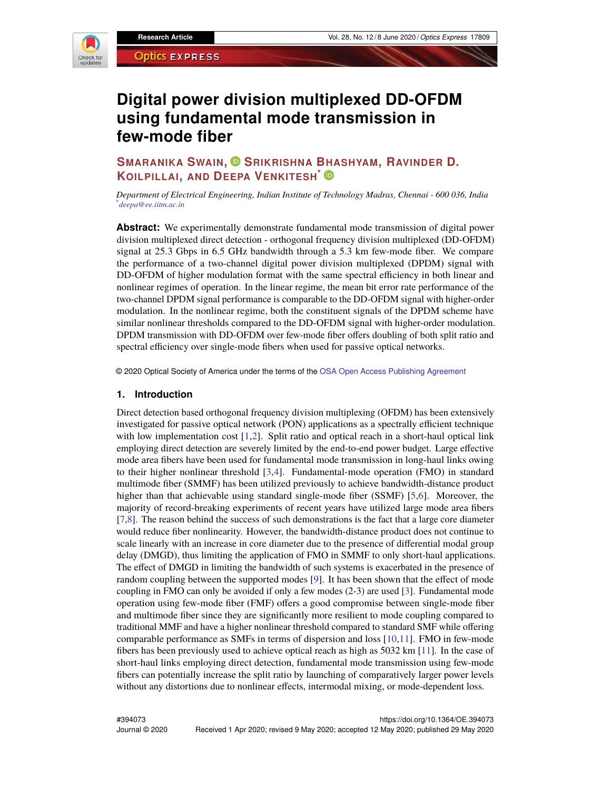

# **Digital power division multiplexed DD-OFDM using fundamental mode transmission in few-mode fiber**

## **SMARANIKA SWAIN, SRIKRISHNA BHASHYAM, RAVINDER D. KOILPILLAI, AND DEEPA VENKITESH\***

*Department of Electrical Engineering, Indian Institute of Technology Madras, Chennai - 600 036, India \*deepa@ee.iitm.ac.in*

**Abstract:** We experimentally demonstrate fundamental mode transmission of digital power division multiplexed direct detection - orthogonal frequency division multiplexed (DD-OFDM) signal at 25.3 Gbps in 6.5 GHz bandwidth through a 5.3 km few-mode fiber. We compare the performance of a two-channel digital power division multiplexed (DPDM) signal with DD-OFDM of higher modulation format with the same spectral efficiency in both linear and nonlinear regimes of operation. In the linear regime, the mean bit error rate performance of the two-channel DPDM signal performance is comparable to the DD-OFDM signal with higher-order modulation. In the nonlinear regime, both the constituent signals of the DPDM scheme have similar nonlinear thresholds compared to the DD-OFDM signal with higher-order modulation. DPDM transmission with DD-OFDM over few-mode fiber offers doubling of both split ratio and spectral efficiency over single-mode fibers when used for passive optical networks.

© 2020 Optical Society of America under the terms of the OSA Open Access Publishing Agreement

#### **1. Introduction**

Direct detection based orthogonal frequency division multiplexing (OFDM) has been extensively investigated for passive optical network (PON) applications as a spectrally efficient technique with low implementation cost  $[1,2]$ . Split ratio and optical reach in a short-haul optical link employing direct detection are severely limited by the end-to-end power budget. Large effective mode area fibers have been used for fundamental mode transmission in long-haul links owing to their higher nonlinear threshold [3,4]. Fundamental-mode operation (FMO) in standard multimode fiber (SMMF) has been utilized previously to achieve bandwidth-distance product higher than that achievable using standard single-mode fiber (SSMF) [5,6]. Moreover, the majority of record-breaking experiments of recent years have utilized large mode area fibers [7,8]. The reason behind the success of such demonstrations is the fact that a large core diameter would reduce fiber nonlinearity. However, the bandwidth-distance product does not continue to scale linearly with an increase in core diameter due to the presence of differential modal group delay (DMGD), thus limiting the application of FMO in SMMF to only short-haul applications. The effect of DMGD in limiting the bandwidth of such systems is exacerbated in the presence of random coupling between the supported modes [9]. It has been shown that the effect of mode coupling in FMO can only be avoided if only a few modes (2-3) are used [3]. Fundamental mode operation using few-mode fiber (FMF) offers a good compromise between single-mode fiber and multimode fiber since they are significantly more resilient to mode coupling compared to traditional MMF and have a higher nonlinear threshold compared to standard SMF while offering comparable performance as SMFs in terms of dispersion and loss [10,11]. FMO in few-mode fibers has been previously used to achieve optical reach as high as 5032 km [11]. In the case of short-haul links employing direct detection, fundamental mode transmission using few-mode fibers can potentially increase the split ratio by launching of comparatively larger power levels without any distortions due to nonlinear effects, intermodal mixing, or mode-dependent loss.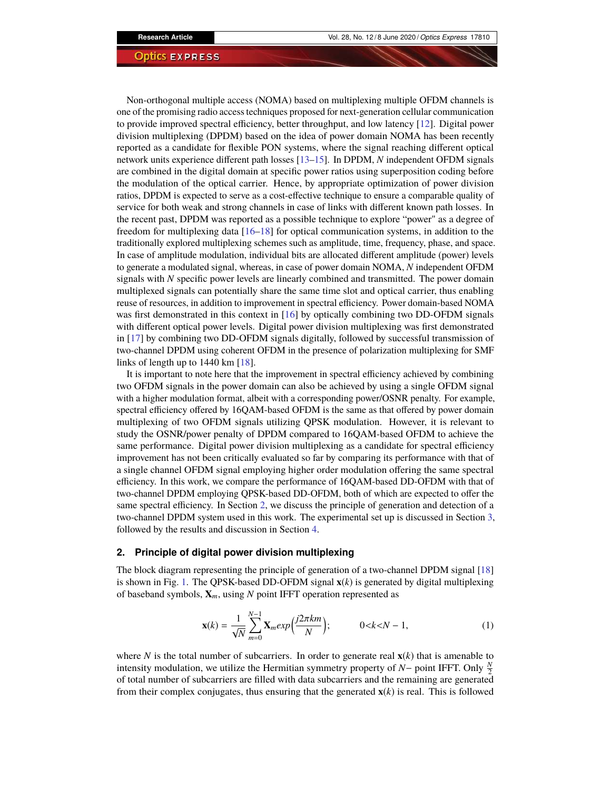Non-orthogonal multiple access (NOMA) based on multiplexing multiple OFDM channels is one of the promising radio access techniques proposed for next-generation cellular communication to provide improved spectral efficiency, better throughput, and low latency [12]. Digital power division multiplexing (DPDM) based on the idea of power domain NOMA has been recently reported as a candidate for flexible PON systems, where the signal reaching different optical network units experience different path losses [13–15]. In DPDM, *N* independent OFDM signals are combined in the digital domain at specific power ratios using superposition coding before the modulation of the optical carrier. Hence, by appropriate optimization of power division ratios, DPDM is expected to serve as a cost-effective technique to ensure a comparable quality of service for both weak and strong channels in case of links with different known path losses. In the recent past, DPDM was reported as a possible technique to explore "power" as a degree of freedom for multiplexing data [16–18] for optical communication systems, in addition to the traditionally explored multiplexing schemes such as amplitude, time, frequency, phase, and space. In case of amplitude modulation, individual bits are allocated different amplitude (power) levels to generate a modulated signal, whereas, in case of power domain NOMA, *N* independent OFDM signals with *N* specific power levels are linearly combined and transmitted. The power domain multiplexed signals can potentially share the same time slot and optical carrier, thus enabling reuse of resources, in addition to improvement in spectral efficiency. Power domain-based NOMA was first demonstrated in this context in [16] by optically combining two DD-OFDM signals with different optical power levels. Digital power division multiplexing was first demonstrated in [17] by combining two DD-OFDM signals digitally, followed by successful transmission of two-channel DPDM using coherent OFDM in the presence of polarization multiplexing for SMF links of length up to 1440 km [18].

It is important to note here that the improvement in spectral efficiency achieved by combining two OFDM signals in the power domain can also be achieved by using a single OFDM signal with a higher modulation format, albeit with a corresponding power/OSNR penalty. For example, spectral efficiency offered by 16QAM-based OFDM is the same as that offered by power domain multiplexing of two OFDM signals utilizing QPSK modulation. However, it is relevant to study the OSNR/power penalty of DPDM compared to 16QAM-based OFDM to achieve the same performance. Digital power division multiplexing as a candidate for spectral efficiency improvement has not been critically evaluated so far by comparing its performance with that of a single channel OFDM signal employing higher order modulation offering the same spectral efficiency. In this work, we compare the performance of 16QAM-based DD-OFDM with that of two-channel DPDM employing QPSK-based DD-OFDM, both of which are expected to offer the same spectral efficiency. In Section 2, we discuss the principle of generation and detection of a two-channel DPDM system used in this work. The experimental set up is discussed in Section 3, followed by the results and discussion in Section 4.

#### **2. Principle of digital power division multiplexing**

The block diagram representing the principle of generation of a two-channel DPDM signal [18] is shown in Fig. 1. The QPSK-based DD-OFDM signal  $\mathbf{x}(k)$  is generated by digital multiplexing of baseband symbols, **X***m*, using *N* point IFFT operation represented as

$$
\mathbf{x}(k) = \frac{1}{\sqrt{N}} \sum_{m=0}^{N-1} \mathbf{X}_m exp\left(\frac{j2\pi km}{N}\right); \qquad 0 < k < N-1,\tag{1}
$$

where *N* is the total number of subcarriers. In order to generate real  $\mathbf{x}(k)$  that is amenable to intensity modulation, we utilize the Hermitian symmetry property of *N* – point IFFT. Only  $\frac{N}{2}$ of total number of subcarriers are filled with data subcarriers and the remaining are generated from their complex conjugates, thus ensuring that the generated **x**(*k*) is real. This is followed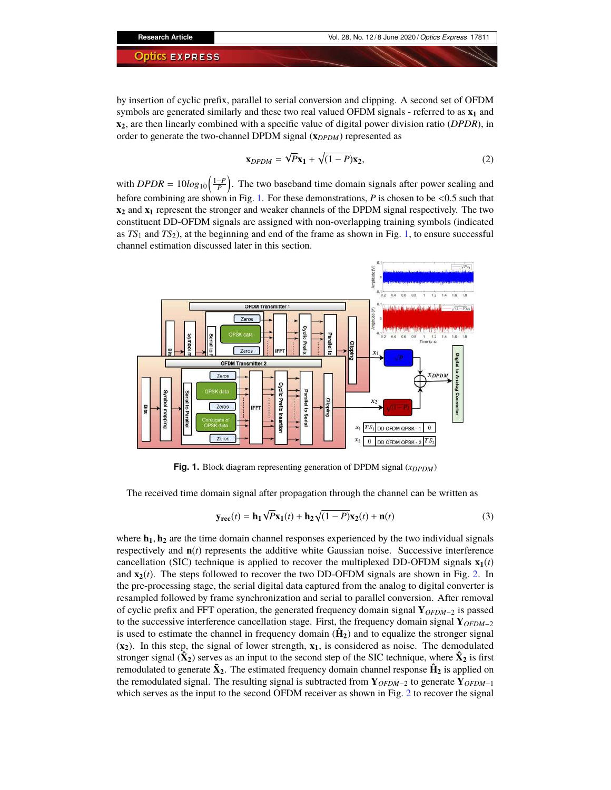by insertion of cyclic prefix, parallel to serial conversion and clipping. A second set of OFDM symbols are generated similarly and these two real valued OFDM signals - referred to as **x<sup>1</sup>** and **x2**, are then linearly combined with a specific value of digital power division ratio (*DPDR*), in order to generate the two-channel DPDM signal (**x***DPDM*) represented as

$$
\mathbf{x}_{DPDM} = \sqrt{P}\mathbf{x}_1 + \sqrt{(1 - P)}\mathbf{x}_2,\tag{2}
$$

with *DPDR* =  $10log_{10}(\frac{1-P}{P})$ . The two baseband time domain signals after power scaling and before combining are shown in Fig. 1. For these demonstrations, *P* is chosen to be <0.5 such that **x<sup>2</sup>** and **x<sup>1</sup>** represent the stronger and weaker channels of the DPDM signal respectively. The two constituent DD-OFDM signals are assigned with non-overlapping training symbols (indicated as *TS*<sup>1</sup> and *TS*2), at the beginning and end of the frame as shown in Fig. 1, to ensure successful channel estimation discussed later in this section.



**Fig. 1.** Block diagram representing generation of DPDM signal (*x<sub>DPDM</sub>*)

The received time domain signal after propagation through the channel can be written as

$$
\mathbf{y}_{\text{rec}}(t) = \mathbf{h}_1 \sqrt{P} \mathbf{x}_1(t) + \mathbf{h}_2 \sqrt{(1 - P)} \mathbf{x}_2(t) + \mathbf{n}(t)
$$
(3)

where  $\mathbf{h}_1, \mathbf{h}_2$  are the time domain channel responses experienced by the two individual signals respectively and  $\mathbf{n}(t)$  represents the additive white Gaussian noise. Successive interference cancellation (SIC) technique is applied to recover the multiplexed DD-OFDM signals  $\mathbf{x}_1(t)$ and  $\mathbf{x}_2(t)$ . The steps followed to recover the two DD-OFDM signals are shown in Fig. 2. In the pre-processing stage, the serial digital data captured from the analog to digital converter is resampled followed by frame synchronization and serial to parallel conversion. After removal of cyclic prefix and FFT operation, the generated frequency domain signal **Y***OFDM*−<sup>2</sup> is passed to the successive interference cancellation stage. First, the frequency domain signal **Y***OFDM*−<sup>2</sup> is used to estimate the channel in frequency domain  $(\hat{H}_2)$  and to equalize the stronger signal (**x2**). In this step, the signal of lower strength, **x1**, is considered as noise. The demodulated stronger signal  $(\mathbf{\hat{X}_2})$  serves as an input to the second step of the SIC technique, where  $\mathbf{\hat{X}_2}$  is first remodulated to generate  $\bar{\mathbf{X}}_2$ . The estimated frequency domain channel response  $\hat{\mathbf{H}}_2$  is applied on the remodulated signal. The resulting signal is subtracted from  $\mathbf{Y}_{OFDM-2}$  to generate  $\mathbf{Y}_{OFDM-1}$ which serves as the input to the second OFDM receiver as shown in Fig. 2 to recover the signal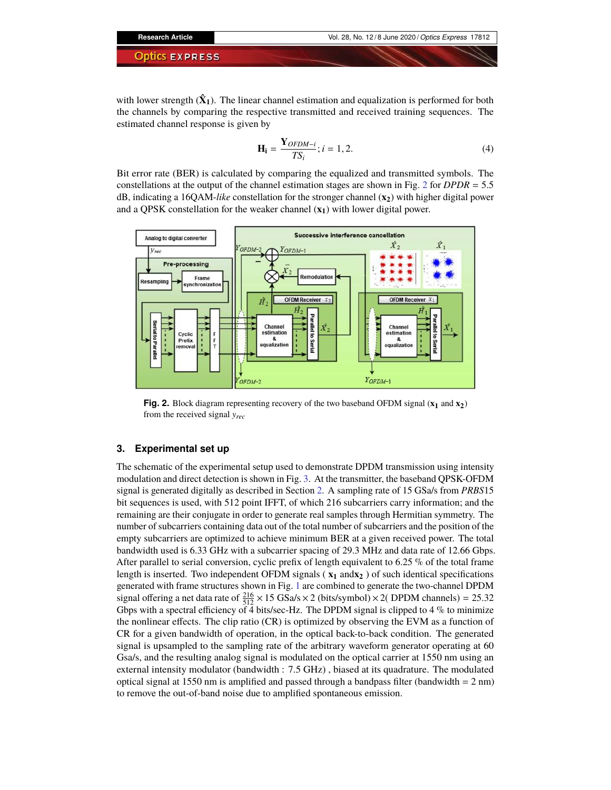with lower strength  $(\hat{X}_1)$ . The linear channel estimation and equalization is performed for both the channels by comparing the respective transmitted and received training sequences. The estimated channel response is given by

$$
\mathbf{H_i} = \frac{\mathbf{Y}_{OFDM-i}}{TS_i}; i = 1, 2.
$$
 (4)

Bit error rate (BER) is calculated by comparing the equalized and transmitted symbols. The constellations at the output of the channel estimation stages are shown in Fig. 2 for *DPDR* = 5.5 dB, indicating a 16QAM-*like* constellation for the stronger channel (**x2**) with higher digital power and a QPSK constellation for the weaker channel (**x1**) with lower digital power.



**Fig. 2.** Block diagram representing recovery of the two baseband OFDM signal (**x<sup>1</sup>** and **x2**) from the received signal *yrec*

#### **3. Experimental set up**

The schematic of the experimental setup used to demonstrate DPDM transmission using intensity modulation and direct detection is shown in Fig. 3. At the transmitter, the baseband QPSK-OFDM signal is generated digitally as described in Section 2. A sampling rate of 15 GSa/s from *PRBS*15 bit sequences is used, with 512 point IFFT, of which 216 subcarriers carry information; and the remaining are their conjugate in order to generate real samples through Hermitian symmetry. The number of subcarriers containing data out of the total number of subcarriers and the position of the empty subcarriers are optimized to achieve minimum BER at a given received power. The total bandwidth used is 6.33 GHz with a subcarrier spacing of 29.3 MHz and data rate of 12.66 Gbps. After parallel to serial conversion, cyclic prefix of length equivalent to 6.25 % of the total frame length is inserted. Two independent OFDM signals ( **x<sup>1</sup>** and**x<sup>2</sup>** ) of such identical specifications generated with frame structures shown in Fig. 1 are combined to generate the two-channel DPDM signal offering a net data rate of  $\frac{216}{512} \times 15$  GSa/s  $\times$  2 (bits/symbol)  $\times$  2( DPDM channels) = 25.32 Gbps with a spectral efficiency of  $\overline{4}$  bits/sec-Hz. The DPDM signal is clipped to  $4\%$  to minimize the nonlinear effects. The clip ratio (CR) is optimized by observing the EVM as a function of CR for a given bandwidth of operation, in the optical back-to-back condition. The generated signal is upsampled to the sampling rate of the arbitrary waveform generator operating at 60 Gsa/s, and the resulting analog signal is modulated on the optical carrier at 1550 nm using an external intensity modulator (bandwidth : 7.5 GHz) , biased at its quadrature. The modulated optical signal at 1550 nm is amplified and passed through a bandpass filter (bandwidth  $= 2$  nm) to remove the out-of-band noise due to amplified spontaneous emission.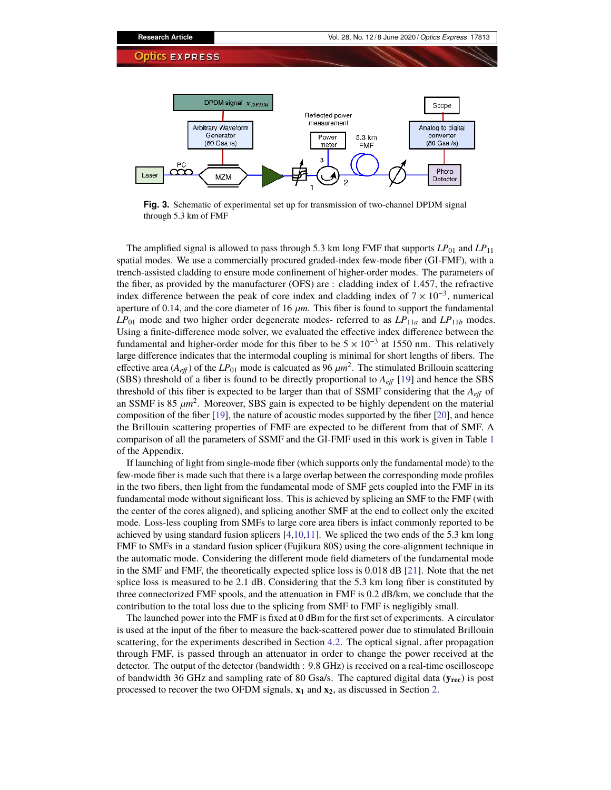

**Fig. 3.** Schematic of experimental set up for transmission of two-channel DPDM signal through 5.3 km of FMF

The amplified signal is allowed to pass through 5.3 km long FMF that supports  $LP_{01}$  and  $LP_{11}$ spatial modes. We use a commercially procured graded-index few-mode fiber (GI-FMF), with a trench-assisted cladding to ensure mode confinement of higher-order modes. The parameters of the fiber, as provided by the manufacturer (OFS) are : cladding index of 1.457, the refractive index difference between the peak of core index and cladding index of  $7 \times 10^{-3}$ , numerical aperture of 0.14, and the core diameter of 16  $\mu$ m. This fiber is found to support the fundamental  $LP_{01}$  mode and two higher order degenerate modes- referred to as  $LP_{11a}$  and  $LP_{11b}$  modes. Using a finite-difference mode solver, we evaluated the effective index difference between the fundamental and higher-order mode for this fiber to be  $5 \times 10^{-3}$  at 1550 nm. This relatively large difference indicates that the intermodal coupling is minimal for short lengths of fibers. The effective area ( $A_{\textit{eff}}$ ) of the  $LP_{01}$  mode is calcuated as 96  $\mu m^2$ . The stimulated Brillouin scattering (SBS) threshold of a fiber is found to be directly proportional to *Aeff* [19] and hence the SBS threshold of this fiber is expected to be larger than that of SSMF considering that the *Aeff* of an SSMF is  $85 \ \mu m^2$ . Moreover, SBS gain is expected to be highly dependent on the material composition of the fiber [19], the nature of acoustic modes supported by the fiber [20], and hence the Brillouin scattering properties of FMF are expected to be different from that of SMF. A comparison of all the parameters of SSMF and the GI-FMF used in this work is given in Table 1 of the Appendix.

If launching of light from single-mode fiber (which supports only the fundamental mode) to the few-mode fiber is made such that there is a large overlap between the corresponding mode profiles in the two fibers, then light from the fundamental mode of SMF gets coupled into the FMF in its fundamental mode without significant loss. This is achieved by splicing an SMF to the FMF (with the center of the cores aligned), and splicing another SMF at the end to collect only the excited mode. Loss-less coupling from SMFs to large core area fibers is infact commonly reported to be achieved by using standard fusion splicers [4,10,11]. We spliced the two ends of the 5.3 km long FMF to SMFs in a standard fusion splicer (Fujikura 80S) using the core-alignment technique in the automatic mode. Considering the different mode field diameters of the fundamental mode in the SMF and FMF, the theoretically expected splice loss is 0.018 dB [21]. Note that the net splice loss is measured to be 2.1 dB. Considering that the 5.3 km long fiber is constituted by three connectorized FMF spools, and the attenuation in FMF is 0.2 dB/km, we conclude that the contribution to the total loss due to the splicing from SMF to FMF is negligibly small.

The launched power into the FMF is fixed at 0 dBm for the first set of experiments. A circulator is used at the input of the fiber to measure the back-scattered power due to stimulated Brillouin scattering, for the experiments described in Section 4.2. The optical signal, after propagation through FMF, is passed through an attenuator in order to change the power received at the detector. The output of the detector (bandwidth : 9.8 GHz) is received on a real-time oscilloscope of bandwidth 36 GHz and sampling rate of 80 Gsa/s. The captured digital data (**yrec**) is post processed to recover the two OFDM signals, **x<sup>1</sup>** and **x2**, as discussed in Section 2.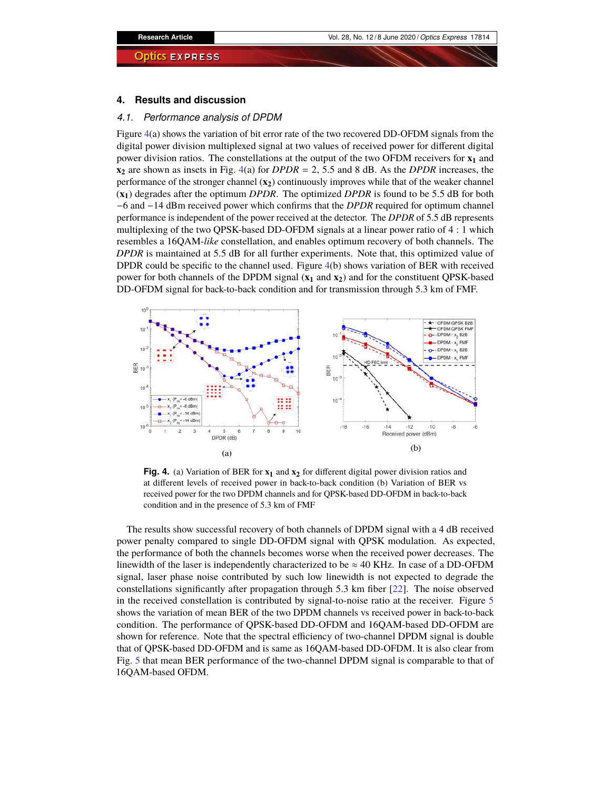#### **4. Results and discussion**

#### *4.1. Performance analysis of DPDM*

Figure 4(a) shows the variation of bit error rate of the two recovered DD-OFDM signals from the digital power division multiplexed signal at two values of received power for different digital power division ratios. The constellations at the output of the two OFDM receivers for **x<sup>1</sup>** and **x<sup>2</sup>** are shown as insets in Fig. 4(a) for *DPDR* = 2, 5.5 and 8 dB. As the *DPDR* increases, the performance of the stronger channel (**x2**) continuously improves while that of the weaker channel (**x1**) degrades after the optimum *DPDR*. The optimized *DPDR* is found to be 5.5 dB for both −6 and −14 dBm received power which confirms that the *DPDR* required for optimum channel performance is independent of the power received at the detector. The *DPDR* of 5.5 dB represents multiplexing of the two QPSK-based DD-OFDM signals at a linear power ratio of 4 : 1 which resembles a 16QAM-*like* constellation, and enables optimum recovery of both channels. The *DPDR* is maintained at 5.5 dB for all further experiments. Note that, this optimized value of DPDR could be specific to the channel used. Figure 4(b) shows variation of BER with received power for both channels of the DPDM signal (**x<sup>1</sup>** and **x2**) and for the constituent QPSK-based DD-OFDM signal for back-to-back condition and for transmission through 5.3 km of FMF.



**Fig. 4.** (a) Variation of BER for **x<sup>1</sup>** and **x<sup>2</sup>** for different digital power division ratios and at different levels of received power in back-to-back condition (b) Variation of BER vs received power for the two DPDM channels and for QPSK-based DD-OFDM in back-to-back condition and in the presence of 5.3 km of FMF

The results show successful recovery of both channels of DPDM signal with a 4 dB received power penalty compared to single DD-OFDM signal with QPSK modulation. As expected, the performance of both the channels becomes worse when the received power decreases. The linewidth of the laser is independently characterized to be  $\approx$  40 KHz. In case of a DD-OFDM signal, laser phase noise contributed by such low linewidth is not expected to degrade the constellations significantly after propagation through 5.3 km fiber [22]. The noise observed in the received constellation is contributed by signal-to-noise ratio at the receiver. Figure 5 shows the variation of mean BER of the two DPDM channels vs received power in back-to-back condition. The performance of QPSK-based DD-OFDM and 16QAM-based DD-OFDM are shown for reference. Note that the spectral efficiency of two-channel DPDM signal is double that of QPSK-based DD-OFDM and is same as 16QAM-based DD-OFDM. It is also clear from Fig. 5 that mean BER performance of the two-channel DPDM signal is comparable to that of 16QAM-based OFDM.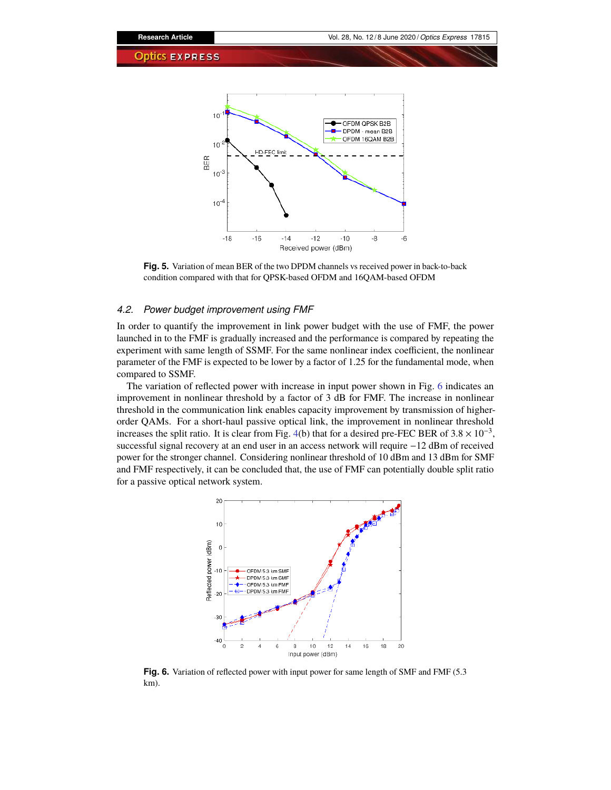

**Fig. 5.** Variation of mean BER of the two DPDM channels vs received power in back-to-back condition compared with that for QPSK-based OFDM and 16QAM-based OFDM

#### *4.2. Power budget improvement using FMF*

In order to quantify the improvement in link power budget with the use of FMF, the power launched in to the FMF is gradually increased and the performance is compared by repeating the experiment with same length of SSMF. For the same nonlinear index coefficient, the nonlinear parameter of the FMF is expected to be lower by a factor of 1.25 for the fundamental mode, when compared to SSMF.

The variation of reflected power with increase in input power shown in Fig. 6 indicates an improvement in nonlinear threshold by a factor of 3 dB for FMF. The increase in nonlinear threshold in the communication link enables capacity improvement by transmission of higherorder QAMs. For a short-haul passive optical link, the improvement in nonlinear threshold increases the split ratio. It is clear from Fig. 4(b) that for a desired pre-FEC BER of  $3.8 \times 10^{-3}$ , successful signal recovery at an end user in an access network will require −12 dBm of received power for the stronger channel. Considering nonlinear threshold of 10 dBm and 13 dBm for SMF and FMF respectively, it can be concluded that, the use of FMF can potentially double split ratio for a passive optical network system.



**Fig. 6.** Variation of reflected power with input power for same length of SMF and FMF (5.3 km).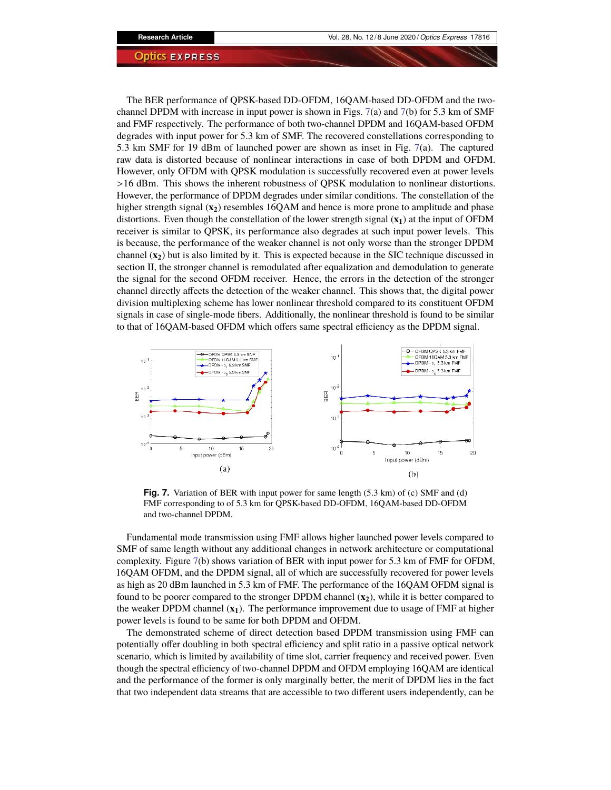The BER performance of QPSK-based DD-OFDM, 16QAM-based DD-OFDM and the twochannel DPDM with increase in input power is shown in Figs. 7(a) and 7(b) for 5.3 km of SMF and FMF respectively. The performance of both two-channel DPDM and 16QAM-based OFDM degrades with input power for 5.3 km of SMF. The recovered constellations corresponding to 5.3 km SMF for 19 dBm of launched power are shown as inset in Fig. 7(a). The captured raw data is distorted because of nonlinear interactions in case of both DPDM and OFDM. However, only OFDM with QPSK modulation is successfully recovered even at power levels >16 dBm. This shows the inherent robustness of QPSK modulation to nonlinear distortions. However, the performance of DPDM degrades under similar conditions. The constellation of the higher strength signal ( $\mathbf{x}_2$ ) resembles 16QAM and hence is more prone to amplitude and phase distortions. Even though the constellation of the lower strength signal (**x1**) at the input of OFDM receiver is similar to QPSK, its performance also degrades at such input power levels. This is because, the performance of the weaker channel is not only worse than the stronger DPDM channel  $(\mathbf{x}_2)$  but is also limited by it. This is expected because in the SIC technique discussed in section II, the stronger channel is remodulated after equalization and demodulation to generate the signal for the second OFDM receiver. Hence, the errors in the detection of the stronger channel directly affects the detection of the weaker channel. This shows that, the digital power division multiplexing scheme has lower nonlinear threshold compared to its constituent OFDM signals in case of single-mode fibers. Additionally, the nonlinear threshold is found to be similar to that of 16QAM-based OFDM which offers same spectral efficiency as the DPDM signal.



**Fig. 7.** Variation of BER with input power for same length (5.3 km) of (c) SMF and (d) FMF corresponding to of 5.3 km for QPSK-based DD-OFDM, 16QAM-based DD-OFDM and two-channel DPDM.

Fundamental mode transmission using FMF allows higher launched power levels compared to SMF of same length without any additional changes in network architecture or computational complexity. Figure 7(b) shows variation of BER with input power for 5.3 km of FMF for OFDM, 16QAM OFDM, and the DPDM signal, all of which are successfully recovered for power levels as high as 20 dBm launched in 5.3 km of FMF. The performance of the 16QAM OFDM signal is found to be poorer compared to the stronger DPDM channel (**x2**), while it is better compared to the weaker DPDM channel (**x1**). The performance improvement due to usage of FMF at higher power levels is found to be same for both DPDM and OFDM.

The demonstrated scheme of direct detection based DPDM transmission using FMF can potentially offer doubling in both spectral efficiency and split ratio in a passive optical network scenario, which is limited by availability of time slot, carrier frequency and received power. Even though the spectral efficiency of two-channel DPDM and OFDM employing 16QAM are identical and the performance of the former is only marginally better, the merit of DPDM lies in the fact that two independent data streams that are accessible to two different users independently, can be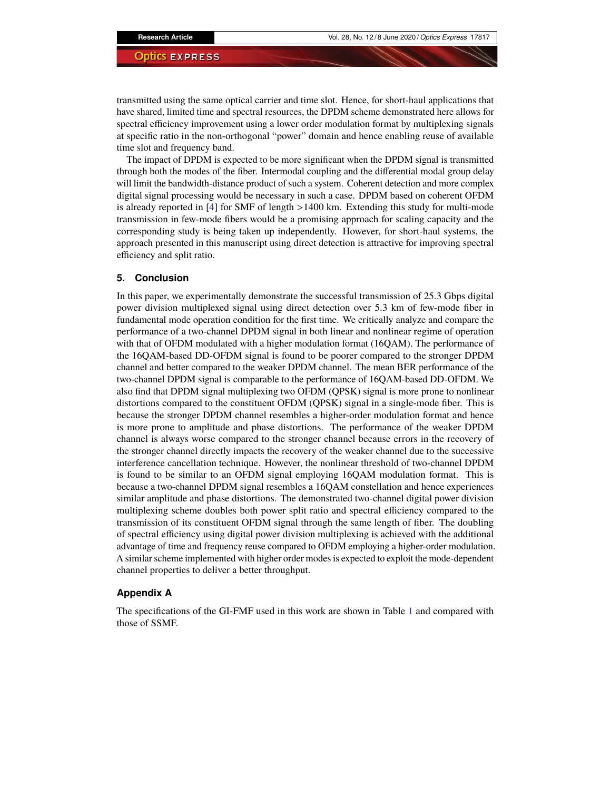transmitted using the same optical carrier and time slot. Hence, for short-haul applications that have shared, limited time and spectral resources, the DPDM scheme demonstrated here allows for spectral efficiency improvement using a lower order modulation format by multiplexing signals at specific ratio in the non-orthogonal "power" domain and hence enabling reuse of available time slot and frequency band.

The impact of DPDM is expected to be more significant when the DPDM signal is transmitted through both the modes of the fiber. Intermodal coupling and the differential modal group delay will limit the bandwidth-distance product of such a system. Coherent detection and more complex digital signal processing would be necessary in such a case. DPDM based on coherent OFDM is already reported in [4] for SMF of length >1400 km. Extending this study for multi-mode transmission in few-mode fibers would be a promising approach for scaling capacity and the corresponding study is being taken up independently. However, for short-haul systems, the approach presented in this manuscript using direct detection is attractive for improving spectral efficiency and split ratio.

#### **5. Conclusion**

In this paper, we experimentally demonstrate the successful transmission of 25.3 Gbps digital power division multiplexed signal using direct detection over 5.3 km of few-mode fiber in fundamental mode operation condition for the first time. We critically analyze and compare the performance of a two-channel DPDM signal in both linear and nonlinear regime of operation with that of OFDM modulated with a higher modulation format (16QAM). The performance of the 16QAM-based DD-OFDM signal is found to be poorer compared to the stronger DPDM channel and better compared to the weaker DPDM channel. The mean BER performance of the two-channel DPDM signal is comparable to the performance of 16QAM-based DD-OFDM. We also find that DPDM signal multiplexing two OFDM (QPSK) signal is more prone to nonlinear distortions compared to the constituent OFDM (QPSK) signal in a single-mode fiber. This is because the stronger DPDM channel resembles a higher-order modulation format and hence is more prone to amplitude and phase distortions. The performance of the weaker DPDM channel is always worse compared to the stronger channel because errors in the recovery of the stronger channel directly impacts the recovery of the weaker channel due to the successive interference cancellation technique. However, the nonlinear threshold of two-channel DPDM is found to be similar to an OFDM signal employing 16QAM modulation format. This is because a two-channel DPDM signal resembles a 16QAM constellation and hence experiences similar amplitude and phase distortions. The demonstrated two-channel digital power division multiplexing scheme doubles both power split ratio and spectral efficiency compared to the transmission of its constituent OFDM signal through the same length of fiber. The doubling of spectral efficiency using digital power division multiplexing is achieved with the additional advantage of time and frequency reuse compared to OFDM employing a higher-order modulation. A similar scheme implemented with higher order modes is expected to exploit the mode-dependent channel properties to deliver a better throughput.

### **Appendix A**

The specifications of the GI-FMF used in this work are shown in Table 1 and compared with those of SSMF.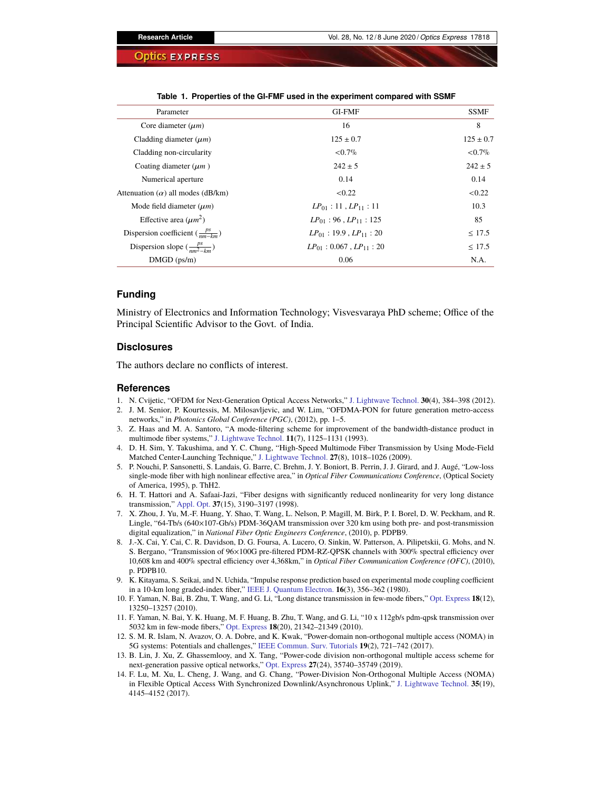| Parameter                                   | <b>GI-FMF</b>                     | <b>SSMF</b>   |
|---------------------------------------------|-----------------------------------|---------------|
| Core diameter $(\mu m)$                     | 16                                | 8             |
| Cladding diameter $(\mu m)$                 | $125 \pm 0.7$                     | $125 \pm 0.7$ |
| Cladding non-circularity                    | ${<}0.7\%$                        | ${<}0.7\%$    |
| Coating diameter $(\mu m)$                  | $242 + 5$                         | $242 \pm 5$   |
| Numerical aperture                          | 0.14                              | 0.14          |
| Attenuation $(\alpha)$ all modes (dB/km)    | < 0.22                            | < 0.22        |
| Mode field diameter $(\mu m)$               | $LP_{01}$ : 11, $LP_{11}$ : 11    | 10.3          |
| Effective area $(\mu m^2)$                  | $LP_{01}$ : 96, $LP_{11}$ : 125   | 85            |
| Dispersion coefficient $(\frac{ps}{nm-km})$ | $LP_{01}$ : 19.9, $LP_{11}$ : 20  | $\leq 17.5$   |
| Dispersion slope $(\frac{ps}{nm^2-km})$     | $LP_{01}$ : 0.067, $LP_{11}$ : 20 | $\leq 17.5$   |
| $DMGD$ (ps/m)                               | 0.06                              | N.A.          |

**Table 1. Properties of the GI-FMF used in the experiment compared with SSMF**

#### **Funding**

Ministry of Electronics and Information Technology; Visvesvaraya PhD scheme; Office of the Principal Scientific Advisor to the Govt. of India.

#### **Disclosures**

The authors declare no conflicts of interest.

#### **References**

- 1. N. Cvijetic, "OFDM for Next-Generation Optical Access Networks," J. Lightwave Technol. **30**(4), 384–398 (2012).
- 2. J. M. Senior, P. Kourtessis, M. Milosavljevic, and W. Lim, "OFDMA-PON for future generation metro-access networks," in *Photonics Global Conference (PGC)*, (2012), pp. 1–5.
- 3. Z. Haas and M. A. Santoro, "A mode-filtering scheme for improvement of the bandwidth-distance product in multimode fiber systems," J. Lightwave Technol. **11**(7), 1125–1131 (1993).
- 4. D. H. Sim, Y. Takushima, and Y. C. Chung, "High-Speed Multimode Fiber Transmission by Using Mode-Field Matched Center-Launching Technique," J. Lightwave Technol. **27**(8), 1018–1026 (2009).
- 5. P. Nouchi, P. Sansonetti, S. Landais, G. Barre, C. Brehm, J. Y. Boniort, B. Perrin, J. J. Girard, and J. Augé, "Low-loss single-mode fiber with high nonlinear effective area," in *Optical Fiber Communications Conference*, (Optical Society of America, 1995), p. ThH2.
- 6. H. T. Hattori and A. Safaai-Jazi, "Fiber designs with significantly reduced nonlinearity for very long distance transmission," Appl. Opt. **37**(15), 3190–3197 (1998).
- 7. X. Zhou, J. Yu, M.-F. Huang, Y. Shao, T. Wang, L. Nelson, P. Magill, M. Birk, P. I. Borel, D. W. Peckham, and R. Lingle, "64-Tb/s (640×107-Gb/s) PDM-36QAM transmission over 320 km using both pre- and post-transmission digital equalization," in *National Fiber Optic Engineers Conference*, (2010), p. PDPB9.
- 8. J.-X. Cai, Y. Cai, C. R. Davidson, D. G. Foursa, A. Lucero, O. Sinkin, W. Patterson, A. Pilipetskii, G. Mohs, and N. S. Bergano, "Transmission of 96×100G pre-filtered PDM-RZ-QPSK channels with 300% spectral efficiency over 10,608 km and 400% spectral efficiency over 4,368km," in *Optical Fiber Communication Conference (OFC)*, (2010), p. PDPB10.
- 9. K. Kitayama, S. Seikai, and N. Uchida, "Impulse response prediction based on experimental mode coupling coefficient in a 10-km long graded-index fiber," IEEE J. Quantum Electron. **16**(3), 356–362 (1980).
- 10. F. Yaman, N. Bai, B. Zhu, T. Wang, and G. Li, "Long distance transmission in few-mode fibers," Opt. Express **18**(12), 13250–13257 (2010).
- 11. F. Yaman, N. Bai, Y. K. Huang, M. F. Huang, B. Zhu, T. Wang, and G. Li, "10 x 112gb/s pdm-qpsk transmission over 5032 km in few-mode fibers," Opt. Express **18**(20), 21342–21349 (2010).
- 12. S. M. R. Islam, N. Avazov, O. A. Dobre, and K. Kwak, "Power-domain non-orthogonal multiple access (NOMA) in 5G systems: Potentials and challenges," IEEE Commun. Surv. Tutorials **19**(2), 721–742 (2017).
- 13. B. Lin, J. Xu, Z. Ghassemlooy, and X. Tang, "Power-code division non-orthogonal multiple access scheme for next-generation passive optical networks," Opt. Express **27**(24), 35740–35749 (2019).
- 14. F. Lu, M. Xu, L. Cheng, J. Wang, and G. Chang, "Power-Division Non-Orthogonal Multiple Access (NOMA) in Flexible Optical Access With Synchronized Downlink/Asynchronous Uplink," J. Lightwave Technol. **35**(19), 4145–4152 (2017).